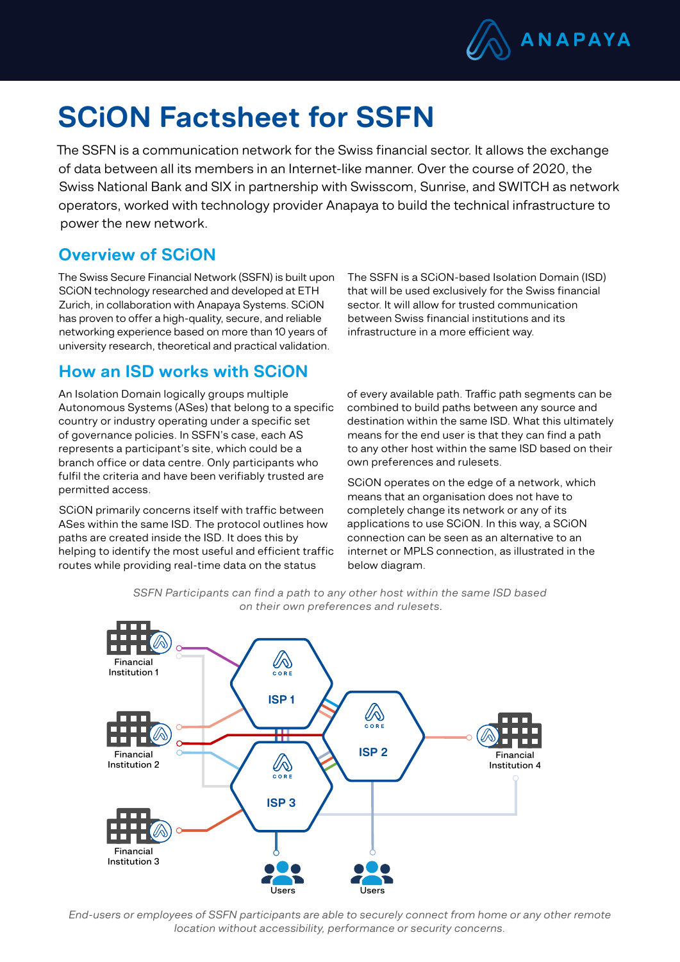

# SCiON Factsheet for SSFN

The SSFN is a communication network for the Swiss financial sector. It allows the exchange of data between all its members in an Internet-like manner. Over the course of 2020, the Swiss National Bank and SIX in partnership with Swisscom, Sunrise, and SWITCH as network operators, worked with technology provider Anapaya to build the technical infrastructure to power the new network.

## Overview of SCiON

The Swiss Secure Financial Network (SSFN) is built upon SCiON technology researched and developed at ETH Zurich, in collaboration with Anapaya Systems. SCiON has proven to offer a high-quality, secure, and reliable networking experience based on more than 10 years of university research, theoretical and practical validation.

The SSFN is a SCiON-based Isolation Domain (ISD) that will be used exclusively for the Swiss financial sector. It will allow for trusted communication between Swiss financial institutions and its infrastructure in a more efficient way.

#### How an ISD works with SCiON

An Isolation Domain logically groups multiple Autonomous Systems (ASes) that belong to a specific country or industry operating under a specific set of governance policies. In SSFN's case, each AS represents a participant's site, which could be a branch office or data centre. Only participants who fulfil the criteria and have been verifiably trusted are permitted access.

SCiON primarily concerns itself with traffic between ASes within the same ISD. The protocol outlines how paths are created inside the ISD. It does this by helping to identify the most useful and efficient traffic routes while providing real-time data on the status

of every available path. Traffic path segments can be combined to build paths between any source and destination within the same ISD. What this ultimately means for the end user is that they can find a path to any other host within the same ISD based on their own preferences and rulesets.

SCiON operates on the edge of a network, which means that an organisation does not have to completely change its network or any of its applications to use SCiON. In this way, a SCiON connection can be seen as an alternative to an internet or MPLS connection, as illustrated in the below diagram.



*SSFN Participants can find a path to any other host within the same ISD based on their own preferences and rulesets.*

*End-users or employees of SSFN participants are able to securely connect from home or any other remote location without accessibility, performance or security concerns.*